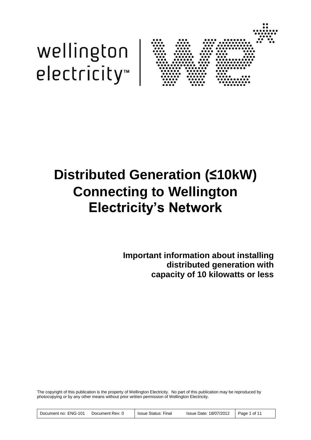



# **Distributed Generation (≤10kW) Connecting to Wellington Electricity's Network**

**Important information about installing distributed generation with capacity of 10 kilowatts or less**

The copyright of this publication is the property of Wellington Electricity. No part of this publication may be reproduced by photocopying or by any other means without prior written permission of Wellington Electricity.

| Document no: ENG-101 | Document Rev: 0 | Issue Status: Final | Issue Date: 18/07/2012 | . Page 1 of 11 |
|----------------------|-----------------|---------------------|------------------------|----------------|
|----------------------|-----------------|---------------------|------------------------|----------------|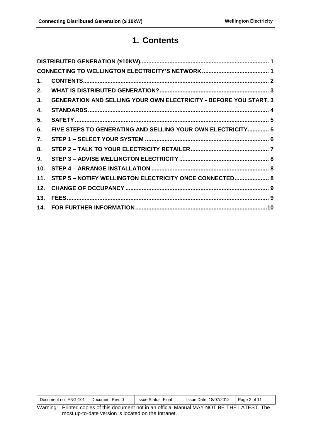### **1. Contents**

| 1.  |                                                                          |
|-----|--------------------------------------------------------------------------|
| 2.  |                                                                          |
| 3.  | <b>GENERATION AND SELLING YOUR OWN ELECTRICITY - BEFORE YOU START. 3</b> |
| 4.  |                                                                          |
| 5.  |                                                                          |
| 6.  | FIVE STEPS TO GENERATING AND SELLING YOUR OWN ELECTRICITY 5              |
| 7.  |                                                                          |
| 8.  |                                                                          |
| 9.  |                                                                          |
| 10. |                                                                          |
| 11. | STEP 5 - NOTIFY WELLINGTON ELECTRICITY ONCE CONNECTED 8                  |
| 12. |                                                                          |
| 13. |                                                                          |
|     |                                                                          |

| Document no: ENG-101 | Document Rev: 0 | Issue Status: Final | Issue Date: 18/07/2012   Page 2 of 11 |  |
|----------------------|-----------------|---------------------|---------------------------------------|--|
|----------------------|-----------------|---------------------|---------------------------------------|--|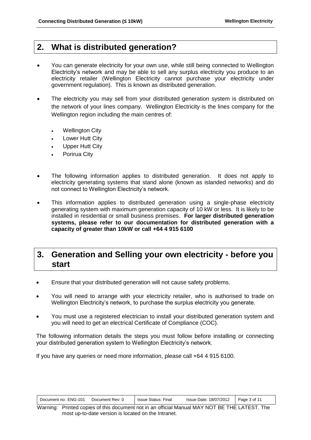### **2. What is distributed generation?**

- You can generate electricity for your own use, while still being connected to Wellington Electricity's network and may be able to sell any surplus electricity you produce to an electricity retailer (Wellington Electricity cannot purchase your electricity under government regulation). This is known as distributed generation.
- The electricity you may sell from your distributed generation system is distributed on the network of your lines company. Wellington Electricity is the lines company for the Wellington region including the main centres of:
	- Wellington City
	- Lower Hutt City
	- Upper Hutt City
	- Porirua City
- The following information applies to distributed generation. It does not apply to electricity generating systems that stand alone (known as islanded networks) and do not connect to Wellington Electricity's network.
- This information applies to distributed generation using a single-phase electricity generating system with maximum generation capacity of 10 kW or less. It is likely to be installed in residential or small business premises. **For larger distributed generation systems, please refer to our documentation for distributed generation with a capacity of greater than 10kW or call +64 4 915 6100**

### **3. Generation and Selling your own electricity - before you start**

- Ensure that your distributed generation will not cause safety problems.
- You will need to arrange with your electricity retailer, who is authorised to trade on Wellington Electricity's network, to purchase the surplus electricity you generate.
- You must use a registered electrician to install your distributed generation system and you will need to get an electrical Certificate of Compliance (COC).

The following information details the steps you must follow before installing or connecting your distributed generation system to Wellington Electricity's network.

If you have any queries or need more information, please call +64 4 915 6100.

| Document no: ENG-101<br>Document Rev: 0 | Issue Status: Final | Issue Date: 18/07/2012 | $\vert$ Page 3 of 11 |
|-----------------------------------------|---------------------|------------------------|----------------------|
|-----------------------------------------|---------------------|------------------------|----------------------|

Warning: Printed copies of this document not in an official Manual MAY NOT BE THE LATEST. The most up-to-date version is located on the Intranet.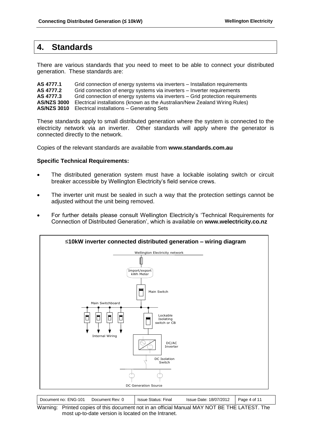### **4. Standards**

There are various standards that you need to meet to be able to connect your distributed generation. These standards are:

**AS 4777.1** Grid connection of energy systems via inverters – Installation requirements<br>**AS 4777.2** Grid connection of energy systems via inverters – Inverter requirements Grid connection of energy systems via inverters – Inverter requirements **AS 4777.3** Grid connection of energy systems via inverters – Grid protection requirements **AS/NZS 3000** Electrical installations (known as the Australian/New Zealand Wiring Rules) **AS/NZS 3010** Electrical installations – Generating Sets

These standards apply to small distributed generation where the system is connected to the electricity network via an inverter. Other standards will apply where the generator is connected directly to the network.

Copies of the relevant standards are available from **www.standards.com.au**

#### **Specific Technical Requirements:**

- The distributed generation system must have a lockable isolating switch or circuit breaker accessible by Wellington Electricity's field service crews.
- The inverter unit must be sealed in such a way that the protection settings cannot be adjusted without the unit being removed.
- For further details please consult Wellington Electricity's 'Technical Requirements for Connection of Distributed Generation', which is available on **www.welectricity.co.nz**



| Document no: ENG-101          | Document Rev: 0 | <b>Issue Status: Final</b> | Issue Date: 18/07/2012 | Page 4 of 1 |
|-------------------------------|-----------------|----------------------------|------------------------|-------------|
| .<br>$\overline{\phantom{a}}$ |                 |                            |                        |             |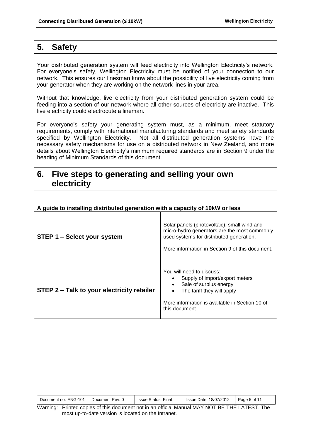### **5. Safety**

Your distributed generation system will feed electricity into Wellington Electricity's network. For everyone's safety, Wellington Electricity must be notified of your connection to our network. This ensures our linesman know about the possibility of live electricity coming from your generator when they are working on the network lines in your area.

Without that knowledge, live electricity from your distributed generation system could be feeding into a section of our network where all other sources of electricity are inactive. This live electricity could electrocute a lineman.

For everyone's safety your generating system must, as a minimum, meet statutory requirements, comply with international manufacturing standards and meet safety standards specified by Wellington Electricity. Not all distributed generation systems have the necessary safety mechanisms for use on a distributed network in New Zealand, and more details about Wellington Electricity's minimum required standards are in Section 9 under the heading of Minimum Standards of this document.

### **6. Five steps to generating and selling your own electricity**

| STEP 1 – Select your system                | Solar panels (photovoltaic), small wind and<br>micro-hydro generators are the most commonly<br>used systems for distributed generation.<br>More information in Section 9 of this document. |
|--------------------------------------------|--------------------------------------------------------------------------------------------------------------------------------------------------------------------------------------------|
| STEP 2 - Talk to your electricity retailer | You will need to discuss:<br>Supply of import/export meters<br>Sale of surplus energy<br>The tariff they will apply<br>More information is available in Section 10 of<br>this document.    |

#### **A guide to installing distributed generation with a capacity of 10kW or less**

| Document no: ENG-101 | Document Rev: 0 | <b>Issue Status: Final</b> | Issue Date: 18/07/2012 | Page 5 of 11 |  |
|----------------------|-----------------|----------------------------|------------------------|--------------|--|
|----------------------|-----------------|----------------------------|------------------------|--------------|--|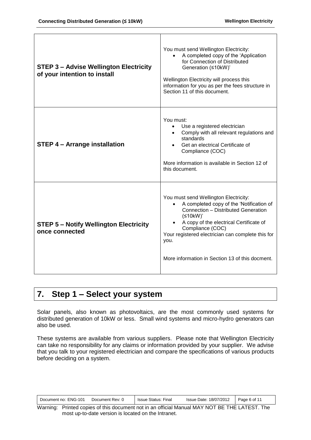| <b>STEP 3 - Advise Wellington Electricity</b><br>of your intention to install | You must send Wellington Electricity:<br>A completed copy of the 'Application<br>for Connection of Distributed<br>Generation (≤10kW)'<br>Wellington Electricity will process this<br>information for you as per the fees structure in<br>Section 11 of this document.                                                            |
|-------------------------------------------------------------------------------|----------------------------------------------------------------------------------------------------------------------------------------------------------------------------------------------------------------------------------------------------------------------------------------------------------------------------------|
| <b>STEP 4 - Arrange installation</b>                                          | You must:<br>Use a registered electrician<br>Comply with all relevant regulations and<br>$\bullet$<br>standards<br>Get an electrical Certificate of<br>Compliance (COC)<br>More information is available in Section 12 of<br>this document.                                                                                      |
| <b>STEP 5 - Notify Wellington Electricity</b><br>once connected               | You must send Wellington Electricity:<br>A completed copy of the 'Notification of<br>Connection - Distributed Generation<br>(≤10kW)'<br>A copy of the electrical Certificate of<br>$\bullet$<br>Compliance (COC)<br>Your registered electrician can complete this for<br>you.<br>More information in Section 13 of this docment. |

### **7. Step 1 – Select your system**

Solar panels, also known as photovoltaics, are the most commonly used systems for distributed generation of 10kW or less. Small wind systems and micro-hydro generators can also be used.

These systems are available from various suppliers. Please note that Wellington Electricity can take no responsibility for any claims or information provided by your supplier. We advise that you talk to your registered electrician and compare the specifications of various products before deciding on a system.

| 18/07/2012<br><b>ENG-101</b><br>Page 6 of 11<br><b>Issue Status:</b><br>Document Rev:<br>Issue Date:<br>-inal<br>Document no: |  |
|-------------------------------------------------------------------------------------------------------------------------------|--|
|-------------------------------------------------------------------------------------------------------------------------------|--|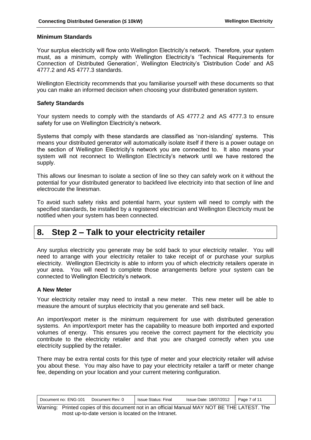#### **Minimum Standards**

Your surplus electricity will flow onto Wellington Electricity's network. Therefore, your system must, as a minimum, comply with Wellington Electricity's 'Technical Requirements for Connection of Distributed Generation', Wellington Electricity's 'Distribution Code' and AS 4777.2 and AS 4777.3 standards.

Wellington Electricity recommends that you familiarise yourself with these documents so that you can make an informed decision when choosing your distributed generation system.

#### **Safety Standards**

Your system needs to comply with the standards of AS 4777.2 and AS 4777.3 to ensure safety for use on Wellington Electricity's network.

Systems that comply with these standards are classified as 'non-islanding' systems. This means your distributed generator will automatically isolate itself if there is a power outage on the section of Wellington Electricity's network you are connected to. It also means your system will not reconnect to Wellington Electricity's network until we have restored the supply.

This allows our linesman to isolate a section of line so they can safely work on it without the potential for your distributed generator to backfeed live electricity into that section of line and electrocute the linesman.

To avoid such safety risks and potential harm, your system will need to comply with the specified standards, be installed by a registered electrician and Wellington Electricity must be notified when your system has been connected.

### **8. Step 2 – Talk to your electricity retailer**

Any surplus electricity you generate may be sold back to your electricity retailer. You will need to arrange with your electricity retailer to take receipt of or purchase your surplus electricity. Wellington Electricity is able to inform you of which electricity retailers operate in your area. You will need to complete those arrangements before your system can be connected to Wellington Electricity's network.

#### **A New Meter**

Your electricity retailer may need to install a new meter. This new meter will be able to measure the amount of surplus electricity that you generate and sell back.

An import/export meter is the minimum requirement for use with distributed generation systems. An import/export meter has the capability to measure both imported and exported volumes of energy. This ensures you receive the correct payment for the electricity you contribute to the electricity retailer and that you are charged correctly when you use electricity supplied by the retailer.

There may be extra rental costs for this type of meter and your electricity retailer will advise you about these. You may also have to pay your electricity retailer a tariff or meter change fee, depending on your location and your current metering configuration.

| <b>ENG-101</b><br>Document no:<br>Document Rev: | Issue Status:<br>-inal | 18/07/2012<br><b>Issue Date:</b> | of 11<br>Page |
|-------------------------------------------------|------------------------|----------------------------------|---------------|
|-------------------------------------------------|------------------------|----------------------------------|---------------|

Warning: Printed copies of this document not in an official Manual MAY NOT BE THE LATEST. The most up-to-date version is located on the Intranet.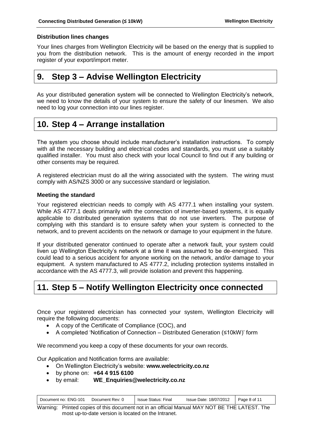#### **Distribution lines changes**

Your lines charges from Wellington Electricity will be based on the energy that is supplied to you from the distribution network. This is the amount of energy recorded in the import register of your export/import meter.

### **9. Step 3 – Advise Wellington Electricity**

As your distributed generation system will be connected to Wellington Electricity's network, we need to know the details of your system to ensure the safety of our linesmen. We also need to log your connection into our lines register.

### **10. Step 4 – Arrange installation**

The system you choose should include manufacturer's installation instructions. To comply with all the necessary building and electrical codes and standards, you must use a suitably qualified installer. You must also check with your local Council to find out if any building or other consents may be required.

A registered electrician must do all the wiring associated with the system. The wiring must comply with AS/NZS 3000 or any successive standard or legislation.

#### **Meeting the standard**

Your registered electrician needs to comply with AS 4777.1 when installing your system. While AS 4777.1 deals primarily with the connection of inverter-based systems, it is equally applicable to distributed generation systems that do not use inverters. The purpose of complying with this standard is to ensure safety when your system is connected to the network, and to prevent accidents on the network or damage to your equipment in the future.

If your distributed generator continued to operate after a network fault, your system could liven up Wellington Electricity's network at a time it was assumed to be de-energised. This could lead to a serious accident for anyone working on the network, and/or damage to your equipment. A system manufactured to AS 4777.2, including protection systems installed in accordance with the AS 4777.3, will provide isolation and prevent this happening.

### **11. Step 5 – Notify Wellington Electricity once connected**

Once your registered electrician has connected your system, Wellington Electricity will require the following documents:

- A copy of the Certificate of Compliance (COC), and
- A completed 'Notification of Connection Distributed Generation (≤10kW)' form

We recommend you keep a copy of these documents for your own records.

Our Application and Notification forms are available:

- On Wellington Electricity's website: **www.welectricity.co.nz**
- by phone on: **+64 4 915 6100**
- by email: **WE\_Enquiries@welectricity.co.nz**

| Document no: ENG-101<br>Document Rev: 0 | <b>Issue Status: Final</b> | Issue Date: 18/07/2012 | Page 8 of 11 |
|-----------------------------------------|----------------------------|------------------------|--------------|
|-----------------------------------------|----------------------------|------------------------|--------------|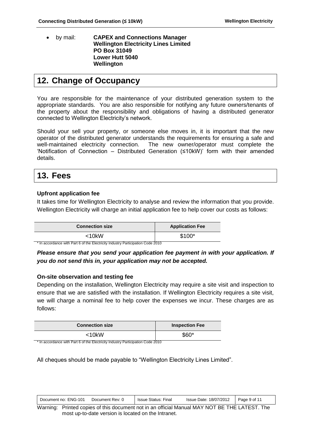by mail: **CAPEX and Connections Manager Wellington Electricity Lines Limited PO Box 31049 Lower Hutt 5040 Wellington**

### **12. Change of Occupancy**

You are responsible for the maintenance of your distributed generation system to the appropriate standards. You are also responsible for notifying any future owners/tenants of the property about the responsibility and obligations of having a distributed generator connected to Wellington Electricity's network.

Should your sell your property, or someone else moves in, it is important that the new operator of the distributed generator understands the requirements for ensuring a safe and well-maintained electricity connection. The new owner/operator must complete the 'Notification of Connection – Distributed Generation (≤10kW)' form with their amended details.

### **13. Fees**

#### **Upfront application fee**

It takes time for Wellington Electricity to analyse and review the information that you provide. Wellington Electricity will charge an initial application fee to help cover our costs as follows:

| <b>Connection size</b>                                                                     | <b>Application Fee</b> |
|--------------------------------------------------------------------------------------------|------------------------|
| <10kW                                                                                      | $$100*$                |
| <sup>*</sup> In accordance with Part 6 of the Electricity Industry Participation Code 2010 |                        |

*you do not send this in, your application may not be accepted.*

*Please ensure that you send your application fee payment in with your application. If* 

## **On-site observation and testing fee**

Depending on the installation, Wellington Electricity may require a site visit and inspection to ensure that we are satisfied with the installation. If Wellington Electricity requires a site visit, we will charge a nominal fee to help cover the expenses we incur. These charges are as follows:

| <b>Connection size</b>                                                          | <b>Inspection Fee</b> |
|---------------------------------------------------------------------------------|-----------------------|
| $<$ 10kW                                                                        | \$60*                 |
| * In accordance with Part 6 of the Electricity Industry Participation Code 2010 |                       |

All cheques should be made payable to "Wellington Electricity Lines Limited".

| Document no: ENG-101<br>Document Rev: 0 | Final<br><b>Issue Status:</b> | Issue Date: 18/07/2012 | Page 9 of 11 |  |
|-----------------------------------------|-------------------------------|------------------------|--------------|--|
|-----------------------------------------|-------------------------------|------------------------|--------------|--|